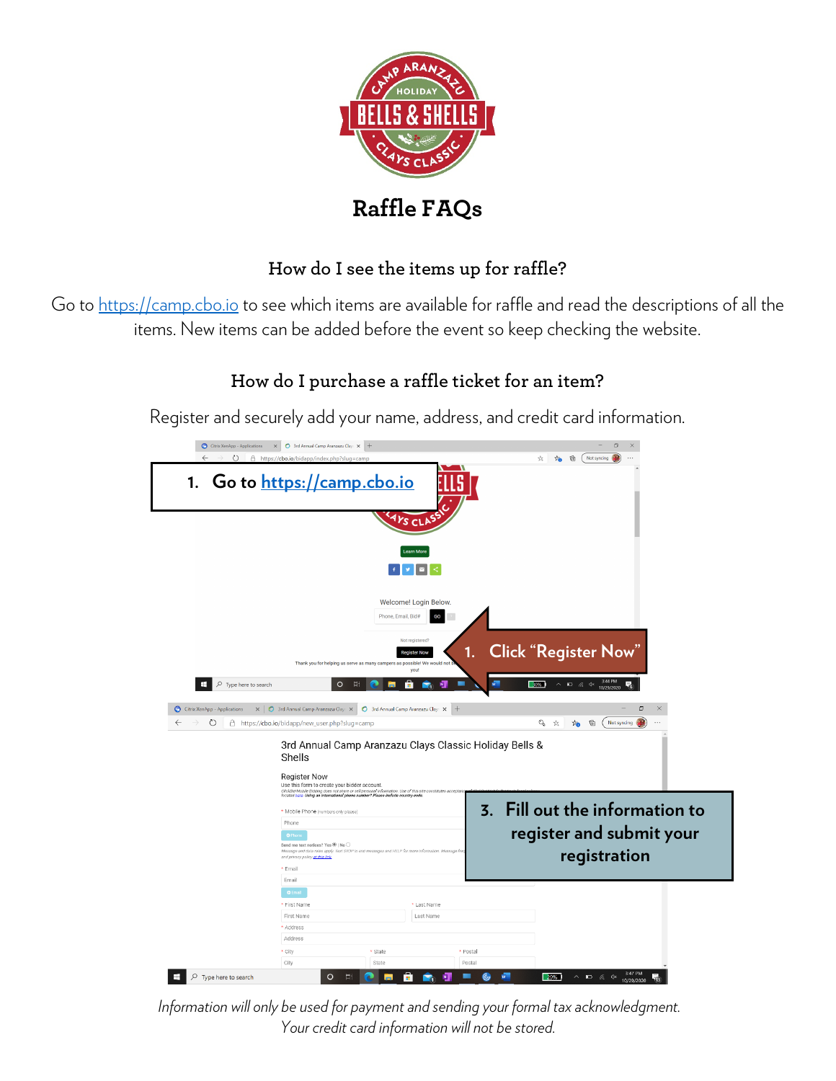

# **Raffle FAQs**

### **How do I see the items up for raffle?**

Go to [https://camp.cbo.io](https://camp.cbo.io/) to see which items are available for raffle and read the descriptions of all the items. New items can be added before the event so keep checking the website.

# **How do I purchase a raffle ticket for an item?**

Register and securely add your name, address, and credit card information.



*Information will only be used for payment and sending your formal tax acknowledgment. Your credit card information will not be stored.*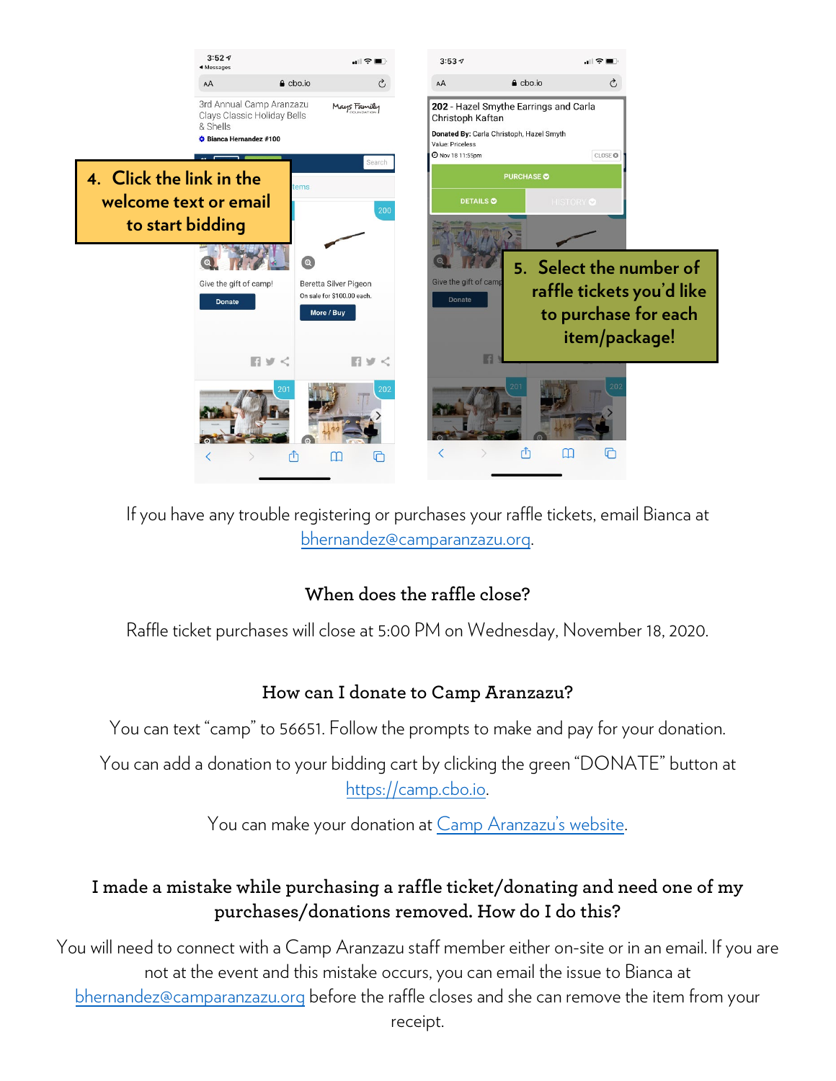

If you have any trouble registering or purchases your raffle tickets, email Bianca at [bhernandez@camparanzazu.org.](mailto:bhernandez@camparanzazu.org)

#### **When does the raffle close?**

Raffle ticket purchases will close at 5:00 PM on Wednesday, November 18, 2020.

#### **How can I donate to Camp Aranzazu?**

You can text "camp" to 56651. Follow the prompts to make and pay for your donation.

You can add a donation to your bidding cart by clicking the green "DONATE" button at [https://camp.cbo.io.](https://camp.cbo.io/)

You can make your donation at [Camp Aranzazu's website.](https://app.etapestry.com/hosted/CampAranzazu/OnlineDonation.html)

### **I made a mistake while purchasing a raffle ticket/donating and need one of my purchases/donations removed. How do I do this?**

You will need to connect with a Camp Aranzazu staff member either on-site or in an email. If you are not at the event and this mistake occurs, you can email the issue to Bianca at [bhernandez@camparanzazu.org](mailto:bhernandez@camparanzazu.org) before the raffle closes and she can remove the item from your receipt.